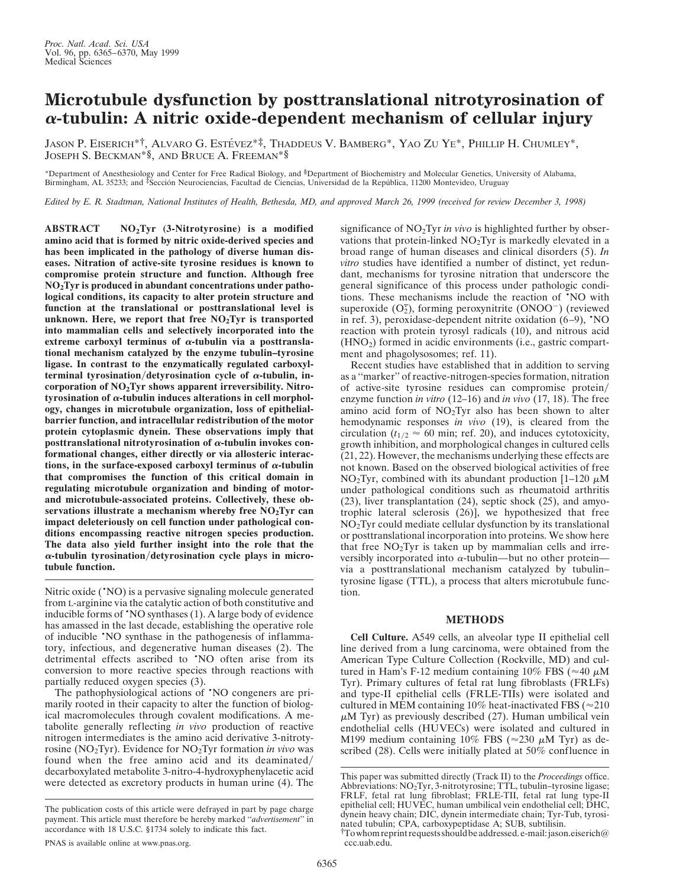## **Microtubule dysfunction by posttranslational nitrotyrosination of** <sup>a</sup>**-tubulin: A nitric oxide-dependent mechanism of cellular injury**

JASON P. EISERICH\*<sup>†</sup>, ALVARO G. ESTÉVEZ<sup>\*‡</sup>, THADDEUS V. BAMBERG<sup>\*</sup>, YAO ZU YE<sup>\*</sup>, PHILLIP H. CHUMLEY<sup>\*</sup>, JOSEPH S. BECKMAN\*§, AND BRUCE A. FREEMAN\*§

\*Department of Anesthesiology and Center for Free Radical Biology, and §Department of Biochemistry and Molecular Genetics, University of Alabama, Birmingham, AL 35233; and <sup>‡</sup>Sección Neurociencias, Facultad de Ciencias, Universidad de la República, 11200 Montevideo, Uruguay

*Edited by E. R. Stadtman, National Institutes of Health, Bethesda, MD, and approved March 26, 1999 (received for review December 3, 1998)*

**ABSTRACT NO2Tyr (3-Nitrotyrosine) is a modified amino acid that is formed by nitric oxide-derived species and has been implicated in the pathology of diverse human diseases. Nitration of active-site tyrosine residues is known to compromise protein structure and function. Although free NO2Tyr is produced in abundant concentrations under pathological conditions, its capacity to alter protein structure and function at the translational or posttranslational level is unknown. Here, we report that free NO2Tyr is transported into mammalian cells and selectively incorporated into the** extreme carboxyl terminus of  $\alpha$ -tubulin via a posttransla**tional mechanism catalyzed by the enzyme tubulin–tyrosine ligase. In contrast to the enzymatically regulated carboxyl**terminal tyrosination/detyrosination cycle of  $\alpha$ -tubulin, in**corporation of NO2Tyr shows apparent irreversibility. Nitro**tyrosination of  $\alpha$ -tubulin induces alterations in cell morphol**ogy, changes in microtubule organization, loss of epithelialbarrier function, and intracellular redistribution of the motor protein cytoplasmic dynein. These observations imply that posttranslational nitrotyrosination of** <sup>a</sup>**-tubulin invokes conformational changes, either directly or via allosteric interac**tions, in the surface-exposed carboxyl terminus of  $\alpha$ -tubulin **that compromises the function of this critical domain in regulating microtubule organization and binding of motorand microtubule-associated proteins. Collectively, these observations illustrate a mechanism whereby free NO2Tyr can impact deleteriously on cell function under pathological conditions encompassing reactive nitrogen species production. The data also yield further insight into the role that the**  $\alpha$ -tubulin tyrosination/detyrosination cycle plays in micro**tubule function.**

Nitric oxide ('NO) is a pervasive signaling molecule generated from L-arginine via the catalytic action of both constitutive and inducible forms of •NO synthases (1). A large body of evidence has amassed in the last decade, establishing the operative role of inducible •NO synthase in the pathogenesis of inflammatory, infectious, and degenerative human diseases (2). The detrimental effects ascribed to 'NO often arise from its conversion to more reactive species through reactions with partially reduced oxygen species (3).

The pathophysiological actions of 'NO congeners are primarily rooted in their capacity to alter the function of biological macromolecules through covalent modifications. A metabolite generally reflecting *in vivo* production of reactive nitrogen intermediates is the amino acid derivative 3-nitrotyrosine (NO2Tyr). Evidence for NO2Tyr formation *in vivo* was found when the free amino acid and its deaminated/ decarboxylated metabolite 3-nitro-4-hydroxyphenylacetic acid were detected as excretory products in human urine (4). The significance of NO<sub>2</sub>Tyr *in vivo* is highlighted further by observations that protein-linked NO2Tyr is markedly elevated in a broad range of human diseases and clinical disorders (5). *In vitro* studies have identified a number of distinct, yet redundant, mechanisms for tyrosine nitration that underscore the general significance of this process under pathologic conditions. These mechanisms include the reaction of •NO with superoxide  $(O<sub>2</sub><sup>2</sup>)$ , forming peroxynitrite  $(ONOO<sup>-</sup>)$  (reviewed in ref. 3), peroxidase-dependent nitrite oxidation (6–9), •NO reaction with protein tyrosyl radicals (10), and nitrous acid (HNO2) formed in acidic environments (i.e., gastric compartment and phagolysosomes; ref. 11).

Recent studies have established that in addition to serving as a ''marker'' of reactive-nitrogen-species formation, nitration of active-site tyrosine residues can compromise protein/ enzyme function *in vitro* (12–16) and *in vivo* (17, 18). The free amino acid form of  $NO<sub>2</sub>Tyr$  also has been shown to alter hemodynamic responses *in vivo* (19), is cleared from the circulation ( $t_{1/2} \approx 60$  min; ref. 20), and induces cytotoxicity, growth inhibition, and morphological changes in cultured cells (21, 22). However, the mechanisms underlying these effects are not known. Based on the observed biological activities of free NO<sub>2</sub>Tyr, combined with its abundant production  $[1-120 \mu M]$ under pathological conditions such as rheumatoid arthritis (23), liver transplantation (24), septic shock (25), and amyotrophic lateral sclerosis (26)], we hypothesized that free NO2Tyr could mediate cellular dysfunction by its translational or posttranslational incorporation into proteins. We show here that free  $NO<sub>2</sub>Tyr$  is taken up by mammalian cells and irreversibly incorporated into  $\alpha$ -tubulin—but no other protein via a posttranslational mechanism catalyzed by tubulin– tyrosine ligase (TTL), a process that alters microtubule function.

## **METHODS**

**Cell Culture.** A549 cells, an alveolar type II epithelial cell line derived from a lung carcinoma, were obtained from the American Type Culture Collection (Rockville, MD) and cultured in Ham's F-12 medium containing 10% FBS ( $\approx$ 40  $\mu$ M Tyr). Primary cultures of fetal rat lung fibroblasts (FRLFs) and type-II epithelial cells (FRLE-TIIs) were isolated and cultured in MEM containing 10% heat-inactivated FBS ( $\approx$ 210  $\mu$ M Tyr) as previously described (27). Human umbilical vein endothelial cells (HUVECs) were isolated and cultured in M199 medium containing 10% FBS ( $\approx$ 230  $\mu$ M Tyr) as described (28). Cells were initially plated at 50% confluence in

The publication costs of this article were defrayed in part by page charge payment. This article must therefore be hereby marked ''*advertisement*'' in accordance with 18 U.S.C. §1734 solely to indicate this fact.

This paper was submitted directly (Track II) to the *Proceedings* office. Abbreviations: NO2Tyr, 3-nitrotyrosine; TTL, tubulin–tyrosine ligase; FRLF, fetal rat lung fibroblast; FRLE-TII, fetal rat lung type-II epithelial cell; HUVEC, human umbilical vein endothelial cell; DHC, dynein heavy chain; DIC, dynein intermediate chain; Tyr-Tub, tyrosinated tubulin; CPA, carboxypeptidase A; SUB, subtilisin.

 $\dagger$ Towhom reprint requests should be addressed. e-mail: jason.eiserich@ ccc.uab.edu.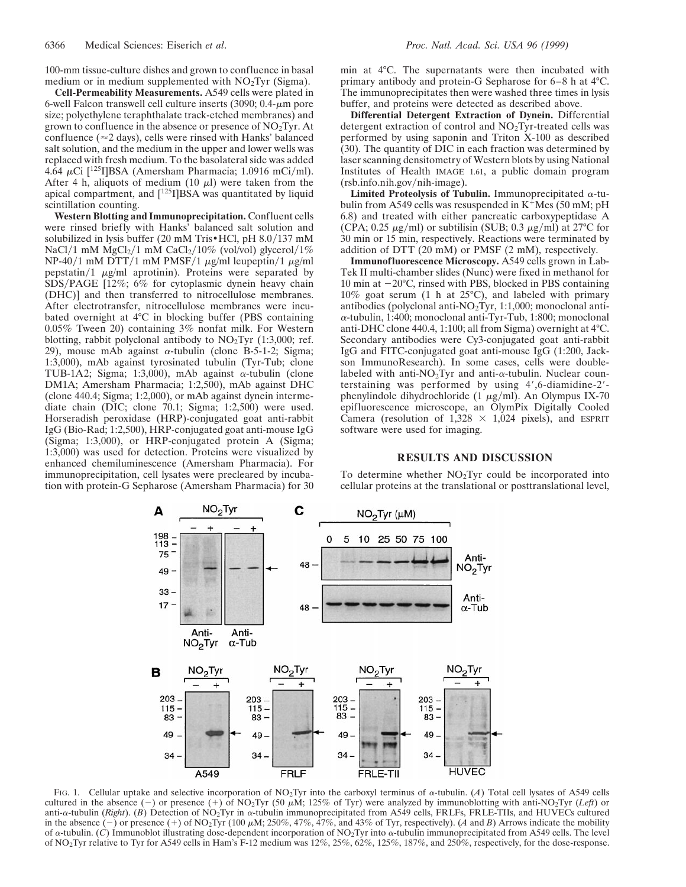100-mm tissue-culture dishes and grown to confluence in basal medium or in medium supplemented with  $NO<sub>2</sub>Tyr$  (Sigma).

**Cell-Permeability Measurements.** A549 cells were plated in 6-well Falcon transwell cell culture inserts  $(3090; 0.4$ - $\mu$ m pore size; polyethylene teraphthalate track-etched membranes) and grown to confluence in the absence or presence of  $NO<sub>2</sub>Tyr$ . At confluence ( $\approx$ 2 days), cells were rinsed with Hanks' balanced salt solution, and the medium in the upper and lower wells was replaced with fresh medium. To the basolateral side was added 4.64  $\mu$ Ci [<sup>125</sup>I]BSA (Amersham Pharmacia; 1.0916 mCi/ml). After 4 h, aliquots of medium (10  $\mu$ l) were taken from the apical compartment, and [<sup>125</sup>I]BSA was quantitated by liquid scintillation counting.

**Western Blotting and Immunoprecipitation.** Confluent cells were rinsed briefly with Hanks' balanced salt solution and solubilized in lysis buffer (20 mM Tris $\cdot$  HCl, pH 8.0/137 mM NaCl/1 mM  $MgCl<sub>2</sub>/1$  mM CaCl<sub>2</sub>/10% (vol/vol) glycerol/1% NP-40/1 mM DTT/1 mM PMSF/1  $\mu$ g/ml leupeptin/1  $\mu$ g/ml pepstatin/1  $\mu$ g/ml aprotinin). Proteins were separated by SDS/PAGE [12%; 6% for cytoplasmic dynein heavy chain (DHC)] and then transferred to nitrocellulose membranes. After electrotransfer, nitrocellulose membranes were incubated overnight at 4°C in blocking buffer (PBS containing 0.05% Tween 20) containing 3% nonfat milk. For Western blotting, rabbit polyclonal antibody to  $NO<sub>2</sub>Tyr$  (1:3,000; ref. 29), mouse mAb against  $\alpha$ -tubulin (clone B-5-1-2; Sigma; 1:3,000), mAb against tyrosinated tubulin (Tyr-Tub; clone TUB-1A2; Sigma; 1:3,000), mAb against  $\alpha$ -tubulin (clone DM1A; Amersham Pharmacia; 1:2,500), mAb against DHC (clone 440.4; Sigma; 1:2,000), or mAb against dynein intermediate chain (DIC; clone 70.1; Sigma; 1:2,500) were used. Horseradish peroxidase (HRP)-conjugated goat anti-rabbit IgG (Bio-Rad; 1:2,500), HRP-conjugated goat anti-mouse IgG (Sigma; 1:3,000), or HRP-conjugated protein A (Sigma; 1:3,000) was used for detection. Proteins were visualized by enhanced chemiluminescence (Amersham Pharmacia). For immunoprecipitation, cell lysates were precleared by incubation with protein-G Sepharose (Amersham Pharmacia) for 30

min at 4°C. The supernatants were then incubated with primary antibody and protein-G Sepharose for 6–8 h at 4°C. The immunoprecipitates then were washed three times in lysis buffer, and proteins were detected as described above.

**Differential Detergent Extraction of Dynein.** Differential detergent extraction of control and  $NO<sub>2</sub>Tyr-treated cells was$ performed by using saponin and Triton X-100 as described (30). The quantity of DIC in each fraction was determined by laser scanning densitometry of Western blots by using National Institutes of Health IMAGE 1.61, a public domain program  $(rsb.info.nih.gov/nih-image)$ .

**Limited Proteolysis of Tubulin.** Immunoprecipitated  $\alpha$ -tubulin from A549 cells was resuspended in  $K^+$ Mes (50 mM; pH 6.8) and treated with either pancreatic carboxypeptidase A (CPA; 0.25  $\mu$ g/ml) or subtilisin (SUB; 0.3  $\mu$ g/ml) at 27°C for 30 min or 15 min, respectively. Reactions were terminated by addition of DTT (20 mM) or PMSF (2 mM), respectively.

**Immunofluorescence Microscopy.** A549 cells grown in Lab-Tek II multi-chamber slides (Nunc) were fixed in methanol for 10 min at  $-20^{\circ}$ C, rinsed with PBS, blocked in PBS containing 10% goat serum (1 h at 25°C), and labeled with primary antibodies (polyclonal anti-NO2Tyr, 1:1,000; monoclonal anti- $\alpha$ -tubulin, 1:400; monoclonal anti-Tyr-Tub, 1:800; monoclonal anti-DHC clone 440.4, 1:100; all from Sigma) overnight at 4°C. Secondary antibodies were Cy3-conjugated goat anti-rabbit IgG and FITC-conjugated goat anti-mouse IgG (1:200, Jackson ImmunoResearch). In some cases, cells were doublelabeled with anti-NO<sub>2</sub>Tyr and anti- $\alpha$ -tubulin. Nuclear counterstaining was performed by using  $4^{\prime}$ , 6-diamidine-2'phenylindole dihydrochloride (1  $\mu$ g/ml). An Olympus IX-70 epifluorescence microscope, an OlymPix Digitally Cooled Camera (resolution of  $1,328 \times 1,024$  pixels), and ESPRIT software were used for imaging.

## **RESULTS AND DISCUSSION**

To determine whether  $NO<sub>2</sub>$ Tyr could be incorporated into cellular proteins at the translational or posttranslational level,



FIG. 1. Cellular uptake and selective incorporation of NO<sub>2</sub>Tyr into the carboxyl terminus of  $\alpha$ -tubulin. (*A*) Total cell lysates of A549 cells cultured in the absence (-) or presence (+) of NO<sub>2</sub>Tyr (50  $\mu$ M; 125% of Tyr) were analyzed by immunoblotting with anti-NO<sub>2</sub>Tyr (*Left*) or anti- $\alpha$ -tubulin (*Right*). (*B*) Detection of NO<sub>2</sub>Tyr in  $\alpha$ -tubulin immunoprecipitated from A549 cells, FRLFs, FRLE-TIIs, and HUVECs cultured in the absence (-) or presence (+) of NO<sub>2</sub>Tyr (100  $\mu$ M; 250%, 47%, 47%, and 43% of Tyr, respectively). (*A* and *B*) Arrows indicate the mobility of <sup>a</sup>-tubulin. (*C*) Immunoblot illustrating dose-dependent incorporation of NO2Tyr into <sup>a</sup>-tubulin immunoprecipitated from A549 cells. The level of NO2Tyr relative to Tyr for A549 cells in Ham's F-12 medium was 12%, 25%, 62%, 125%, 187%, and 250%, respectively, for the dose-response.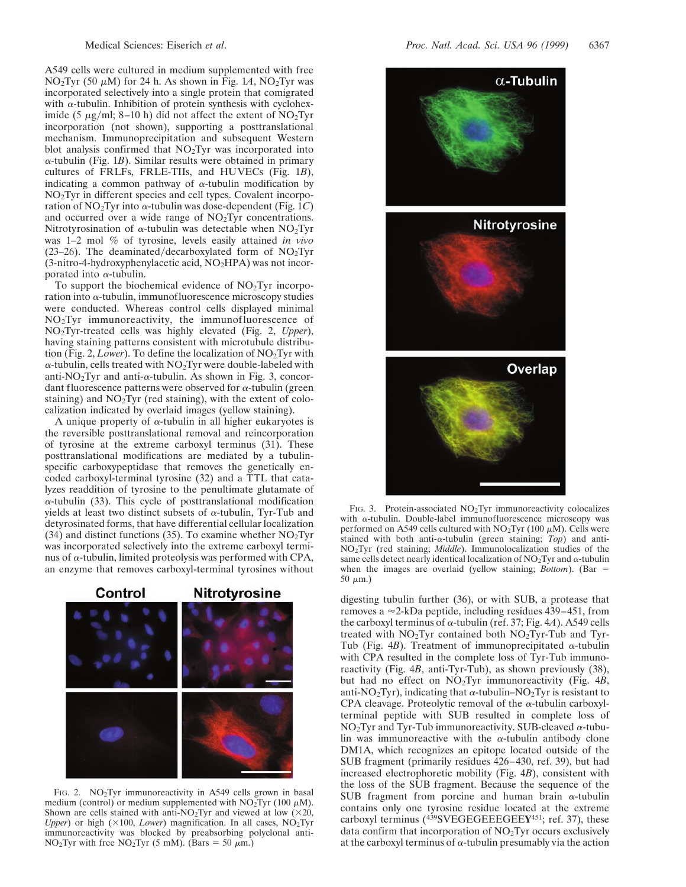A549 cells were cultured in medium supplemented with free NO<sub>2</sub>Tyr (50  $\mu$ M) for 24 h. As shown in Fig. 1A, NO<sub>2</sub>Tyr was incorporated selectively into a single protein that comigrated with  $\alpha$ -tubulin. Inhibition of protein synthesis with cycloheximide (5  $\mu$ g/ml; 8–10 h) did not affect the extent of NO<sub>2</sub>Tyr incorporation (not shown), supporting a posttranslational mechanism. Immunoprecipitation and subsequent Western blot analysis confirmed that  $NO<sub>2</sub>$ Tyr was incorporated into <sup>a</sup>-tubulin (Fig. 1*B*). Similar results were obtained in primary cultures of FRLFs, FRLE-TIIs, and HUVECs (Fig. 1*B*), indicating a common pathway of  $\alpha$ -tubulin modification by NO2Tyr in different species and cell types. Covalent incorporation of  $NO<sub>2</sub>Tyr$  into  $\alpha$ -tubulin was dose-dependent (Fig. 1*C*) and occurred over a wide range of NO2Tyr concentrations. Nitrotyrosination of  $\alpha$ -tubulin was detectable when NO<sub>2</sub>Tyr was 1–2 mol % of tyrosine, levels easily attained *in vivo* (23–26). The deaminated/decarboxylated form of  $NO<sub>2</sub>Tyr$  $(3\text{-nitro-4-hydroxyphenylacetic acid}, NO<sub>2</sub>HPA)$  was not incorporated into  $\alpha$ -tubulin.

To support the biochemical evidence of  $NO<sub>2</sub>Tyr$  incorporation into  $\alpha$ -tubulin, immunofluorescence microscopy studies were conducted. Whereas control cells displayed minimal NO2Tyr immunoreactivity, the immunofluorescence of NO2Tyr-treated cells was highly elevated (Fig. 2, *Upper*), having staining patterns consistent with microtubule distribution (Fig. 2, *Lower*). To define the localization of NO2Tyr with  $\alpha$ -tubulin, cells treated with NO<sub>2</sub>Tyr were double-labeled with anti-NO<sub>2</sub>Tyr and anti- $\alpha$ -tubulin. As shown in Fig. 3, concordant fluorescence patterns were observed for  $\alpha$ -tubulin (green staining) and  $NO<sub>2</sub>Tyr$  (red staining), with the extent of colocalization indicated by overlaid images (yellow staining).

A unique property of  $\alpha$ -tubulin in all higher eukaryotes is the reversible posttranslational removal and reincorporation of tyrosine at the extreme carboxyl terminus (31). These posttranslational modifications are mediated by a tubulinspecific carboxypeptidase that removes the genetically encoded carboxyl-terminal tyrosine (32) and a TTL that catalyzes readdition of tyrosine to the penultimate glutamate of  $\alpha$ -tubulin (33). This cycle of posttranslational modification yields at least two distinct subsets of  $\alpha$ -tubulin, Tyr-Tub and detyrosinated forms, that have differential cellular localization  $(34)$  and distinct functions (35). To examine whether NO<sub>2</sub>Tyr was incorporated selectively into the extreme carboxyl terminus of  $\alpha$ -tubulin, limited proteolysis was performed with CPA, an enzyme that removes carboxyl-terminal tyrosines without



FIG. 2. NO<sub>2</sub>Tyr immunoreactivity in A549 cells grown in basal medium (control) or medium supplemented with  $NO<sub>2</sub>Tyr$  (100  $\mu$ M). Shown are cells stained with anti-NO<sub>2</sub>Tyr and viewed at low  $(\times 20,$ *Upper*) or high ( $\times$ 100, *Lower*) magnification. In all cases, NO<sub>2</sub>Tyr immunoreactivity was blocked by preabsorbing polyclonal anti-NO<sub>2</sub>Tyr with free NO<sub>2</sub>Tyr (5 mM). (Bars = 50  $\mu$ m.)



FIG. 3. Protein-associated  $NO<sub>2</sub>Tyr$  immunoreactivity colocalizes with  $\alpha$ -tubulin. Double-label immunofluorescence microscopy was performed on A549 cells cultured with  $NO<sub>2</sub>Tyr$  (100  $\mu$ M). Cells were stained with both anti-a-tubulin (green staining; *Top*) and anti-NO2Tyr (red staining; *Middle*). Immunolocalization studies of the same cells detect nearly identical localization of  $NO<sub>2</sub>Tyr$  and  $\alpha$ -tubulin when the images are overlaid (yellow staining;  $Bottom$ ). (Bar  $=$  $50 \mu m$ .)

digesting tubulin further (36), or with SUB, a protease that removes a  $\approx$ 2-kDa peptide, including residues 439–451, from the carboxyl terminus of  $\alpha$ -tubulin (ref. 37; Fig. 4*A*). A549 cells treated with  $NO<sub>2</sub>Tyr$  contained both  $NO<sub>2</sub>Tyr$ -Tub and Tyr-Tub (Fig. 4*B*). Treatment of immunoprecipitated  $\alpha$ -tubulin with CPA resulted in the complete loss of Tyr-Tub immunoreactivity (Fig. 4*B*, anti-Tyr-Tub), as shown previously (38), but had no effect on NO2Tyr immunoreactivity (Fig. 4*B*, anti-NO<sub>2</sub>Tyr), indicating that  $\alpha$ -tubulin–NO<sub>2</sub>Tyr is resistant to CPA cleavage. Proteolytic removal of the  $\alpha$ -tubulin carboxylterminal peptide with SUB resulted in complete loss of  $NO<sub>2</sub>$ Tyr and Tyr-Tub immunoreactivity. SUB-cleaved  $\alpha$ -tubulin was immunoreactive with the  $\alpha$ -tubulin antibody clone DM1A, which recognizes an epitope located outside of the SUB fragment (primarily residues 426–430, ref. 39), but had increased electrophoretic mobility (Fig. 4*B*), consistent with the loss of the SUB fragment. Because the sequence of the SUB fragment from porcine and human brain  $\alpha$ -tubulin contains only one tyrosine residue located at the extreme carboxyl terminus (439SVEGEGEEEGEE**Y**451; ref. 37), these data confirm that incorporation of NO2Tyr occurs exclusively at the carboxyl terminus of  $\alpha$ -tubulin presumably via the action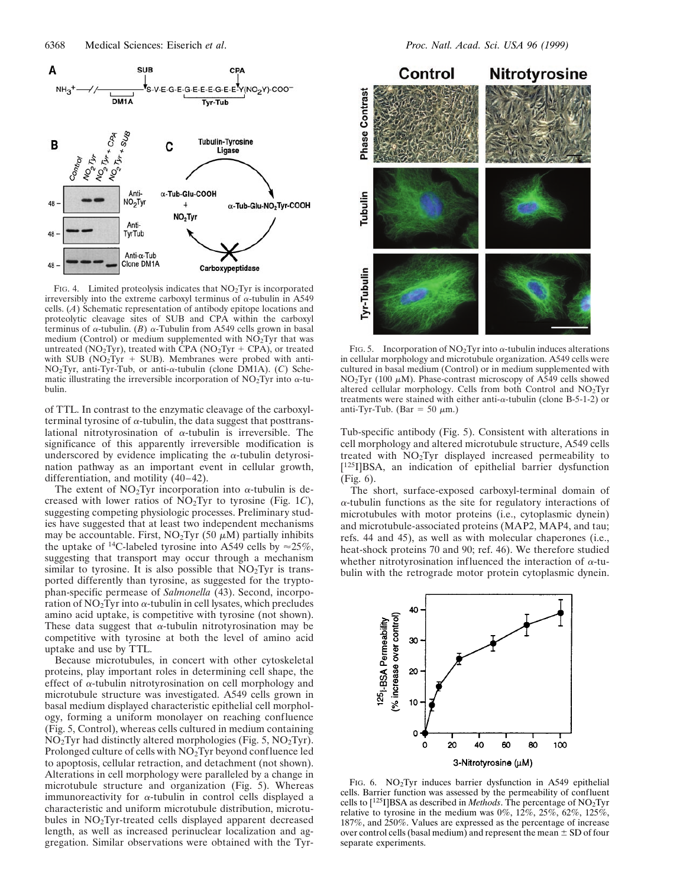

FIG. 4. Limited proteolysis indicates that NO<sub>2</sub>Tyr is incorporated irreversibly into the extreme carboxyl terminus of  $\alpha$ -tubulin in A549 cells. (*A*) Schematic representation of antibody epitope locations and proteolytic cleavage sites of SUB and CPA within the carboxyl terminus of  $\alpha$ -tubulin. (*B*)  $\alpha$ -Tubulin from A549 cells grown in basal medium (Control) or medium supplemented with NO<sub>2</sub>Tyr that was untreated (NO<sub>2</sub>Tyr), treated with CPA (NO<sub>2</sub>Tyr + CPA), or treated with SUB ( $NO<sub>2</sub>Tyr + SUB$ ). Membranes were probed with anti-NO2Tyr, anti-Tyr-Tub, or anti-a-tubulin (clone DM1A). (*C*) Schematic illustrating the irreversible incorporation of  $NO<sub>2</sub>$ Tyr into  $\alpha$ -tubulin.

of TTL. In contrast to the enzymatic cleavage of the carboxylterminal tyrosine of  $\alpha$ -tubulin, the data suggest that posttranslational nitrotyrosination of  $\alpha$ -tubulin is irreversible. The significance of this apparently irreversible modification is underscored by evidence implicating the  $\alpha$ -tubulin detyrosination pathway as an important event in cellular growth, differentiation, and motility (40–42).

The extent of  $NO<sub>2</sub>$ Tyr incorporation into  $\alpha$ -tubulin is decreased with lower ratios of NO2Tyr to tyrosine (Fig. 1*C*), suggesting competing physiologic processes. Preliminary studies have suggested that at least two independent mechanisms may be accountable. First,  $NO<sub>2</sub>Tyr$  (50  $\mu$ M) partially inhibits the uptake of <sup>14</sup>C-labeled tyrosine into A549 cells by  $\approx$  25%, suggesting that transport may occur through a mechanism similar to tyrosine. It is also possible that  $NO<sub>2</sub>Tyr$  is transported differently than tyrosine, as suggested for the tryptophan-specific permease of *Salmonella* (43). Second, incorporation of  $NO<sub>2</sub>$ Tyr into  $\alpha$ -tubulin in cell lysates, which precludes amino acid uptake, is competitive with tyrosine (not shown). These data suggest that  $\alpha$ -tubulin nitrotyrosination may be competitive with tyrosine at both the level of amino acid uptake and use by TTL.

Because microtubules, in concert with other cytoskeletal proteins, play important roles in determining cell shape, the effect of  $\alpha$ -tubulin nitrotyrosination on cell morphology and microtubule structure was investigated. A549 cells grown in basal medium displayed characteristic epithelial cell morphology, forming a uniform monolayer on reaching confluence (Fig. 5, Control), whereas cells cultured in medium containing  $NO<sub>2</sub>Tyr$  had distinctly altered morphologies (Fig. 5,  $NO<sub>2</sub>Tyr$ ). Prolonged culture of cells with NO<sub>2</sub>Tyr beyond confluence led to apoptosis, cellular retraction, and detachment (not shown). Alterations in cell morphology were paralleled by a change in microtubule structure and organization (Fig. 5). Whereas immunoreactivity for  $\alpha$ -tubulin in control cells displayed a characteristic and uniform microtubule distribution, microtubules in NO2Tyr-treated cells displayed apparent decreased length, as well as increased perinuclear localization and aggregation. Similar observations were obtained with the Tyr-



FIG. 5. Incorporation of NO<sub>2</sub>Tyr into  $\alpha$ -tubulin induces alterations in cellular morphology and microtubule organization. A549 cells were cultured in basal medium (Control) or in medium supplemented with NO<sub>2</sub>Tyr (100  $\mu$ M). Phase-contrast microscopy of A549 cells showed altered cellular morphology. Cells from both Control and NO2Tyr treatments were stained with either anti- $\alpha$ -tubulin (clone B-5-1-2) or anti-Tyr-Tub. (Bar = 50  $\mu$ m.)

Tub-specific antibody (Fig. 5). Consistent with alterations in cell morphology and altered microtubule structure, A549 cells treated with NO2Tyr displayed increased permeability to [125I]BSA, an indication of epithelial barrier dysfunction (Fig. 6).

The short, surface-exposed carboxyl-terminal domain of  $\alpha$ -tubulin functions as the site for regulatory interactions of microtubules with motor proteins (i.e., cytoplasmic dynein) and microtubule-associated proteins (MAP2, MAP4, and tau; refs. 44 and 45), as well as with molecular chaperones (i.e., heat-shock proteins 70 and 90; ref. 46). We therefore studied whether nitrotyrosination influenced the interaction of  $\alpha$ -tubulin with the retrograde motor protein cytoplasmic dynein.



FIG. 6. NO2Tyr induces barrier dysfunction in A549 epithelial cells. Barrier function was assessed by the permeability of confluent cells to [125I]BSA as described in *Methods*. The percentage of NO2Tyr relative to tyrosine in the medium was  $0\%$ ,  $12\%$ ,  $25\%$ ,  $62\%$ ,  $125\%$ , 187%, and 250%. Values are expressed as the percentage of increase over control cells (basal medium) and represent the mean  $\pm$  SD of four separate experiments.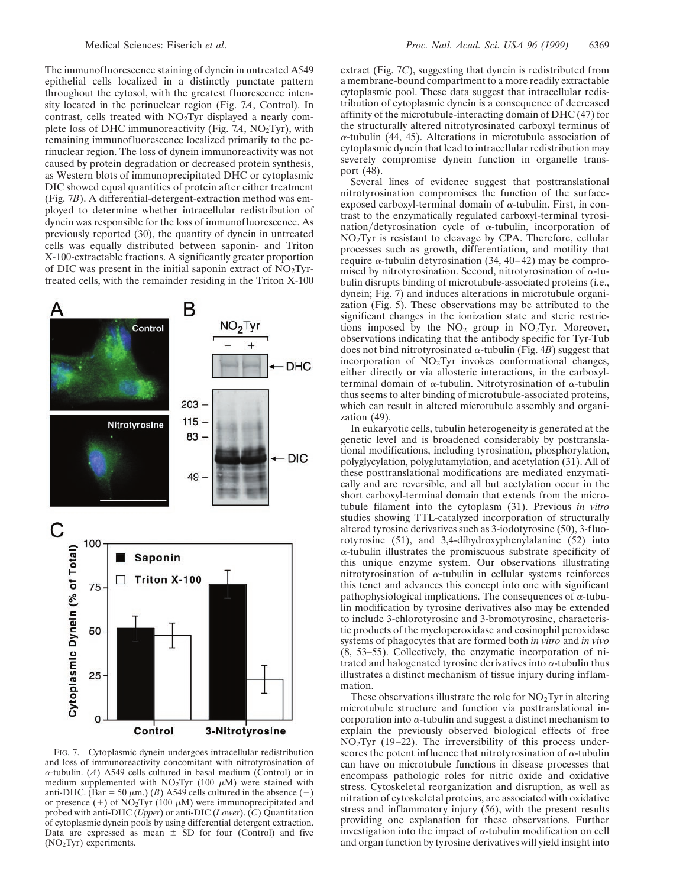The immunofluorescence staining of dynein in untreated A549 epithelial cells localized in a distinctly punctate pattern throughout the cytosol, with the greatest fluorescence intensity located in the perinuclear region (Fig. 7*A*, Control). In contrast, cells treated with NO2Tyr displayed a nearly complete loss of DHC immunoreactivity (Fig. 7*A*, NO2Tyr), with remaining immunofluorescence localized primarily to the perinuclear region. The loss of dynein immunoreactivity was not caused by protein degradation or decreased protein synthesis, as Western blots of immunoprecipitated DHC or cytoplasmic DIC showed equal quantities of protein after either treatment (Fig. 7*B*). A differential-detergent-extraction method was employed to determine whether intracellular redistribution of dynein was responsible for the loss of immunofluorescence. As previously reported (30), the quantity of dynein in untreated cells was equally distributed between saponin- and Triton X-100-extractable fractions. A significantly greater proportion of DIC was present in the initial saponin extract of  $NO<sub>2</sub>Tyr$ treated cells, with the remainder residing in the Triton X-100



FIG. 7. Cytoplasmic dynein undergoes intracellular redistribution and loss of immunoreactivity concomitant with nitrotyrosination of  $\alpha$ -tubulin. (*A*) A549 cells cultured in basal medium (Control) or in medium supplemented with  $NO<sub>2</sub>Tryr$  (100  $\mu$ M) were stained with anti-DHC. (Bar = 50  $\mu$ m.) (*B*) A549 cells cultured in the absence (-) or presence (+) of  $NO<sub>2</sub>Tyr$  (100  $\mu$ M) were immunoprecipitated and probed with anti-DHC (*Upper*) or anti-DIC (*Lower*). (*C*) Quantitation of cytoplasmic dynein pools by using differential detergent extraction. Data are expressed as mean  $\pm$  SD for four (Control) and five (NO2Tyr) experiments.

extract (Fig. 7*C*), suggesting that dynein is redistributed from a membrane-bound compartment to a more readily extractable cytoplasmic pool. These data suggest that intracellular redistribution of cytoplasmic dynein is a consequence of decreased affinity of the microtubule-interacting domain of DHC (47) for the structurally altered nitrotyrosinated carboxyl terminus of  $\alpha$ -tubulin (44, 45). Alterations in microtubule association of cytoplasmic dynein that lead to intracellular redistribution may severely compromise dynein function in organelle transport (48).

Several lines of evidence suggest that posttranslational nitrotyrosination compromises the function of the surfaceexposed carboxyl-terminal domain of  $\alpha$ -tubulin. First, in contrast to the enzymatically regulated carboxyl-terminal tyrosination/detyrosination cycle of  $\alpha$ -tubulin, incorporation of NO2Tyr is resistant to cleavage by CPA. Therefore, cellular processes such as growth, differentiation, and motility that require  $\alpha$ -tubulin detyrosination (34, 40–42) may be compromised by nitrotyrosination. Second, nitrotyrosination of  $\alpha$ -tubulin disrupts binding of microtubule-associated proteins (i.e., dynein; Fig. 7) and induces alterations in microtubule organization (Fig. 5). These observations may be attributed to the significant changes in the ionization state and steric restrictions imposed by the  $NO<sub>2</sub>$  group in  $NO<sub>2</sub>$ Tyr. Moreover, observations indicating that the antibody specific for Tyr-Tub does not bind nitrotyrosinated  $\alpha$ -tubulin (Fig. 4*B*) suggest that incorporation of NO2Tyr invokes conformational changes, either directly or via allosteric interactions, in the carboxylterminal domain of  $\alpha$ -tubulin. Nitrotyrosination of  $\alpha$ -tubulin thus seems to alter binding of microtubule-associated proteins, which can result in altered microtubule assembly and organization (49).

In eukaryotic cells, tubulin heterogeneity is generated at the genetic level and is broadened considerably by posttranslational modifications, including tyrosination, phosphorylation, polyglycylation, polyglutamylation, and acetylation (31). All of these posttranslational modifications are mediated enzymatically and are reversible, and all but acetylation occur in the short carboxyl-terminal domain that extends from the microtubule filament into the cytoplasm (31). Previous *in vitro* studies showing TTL-catalyzed incorporation of structurally altered tyrosine derivatives such as 3-iodotyrosine (50), 3-fluorotyrosine (51), and 3,4-dihydroxyphenylalanine (52) into <sup>a</sup>-tubulin illustrates the promiscuous substrate specificity of this unique enzyme system. Our observations illustrating nitrotyrosination of  $\alpha$ -tubulin in cellular systems reinforces this tenet and advances this concept into one with significant pathophysiological implications. The consequences of  $\alpha$ -tubulin modification by tyrosine derivatives also may be extended to include 3-chlorotyrosine and 3-bromotyrosine, characteristic products of the myeloperoxidase and eosinophil peroxidase systems of phagocytes that are formed both *in vitro* and *in vivo* (8, 53–55). Collectively, the enzymatic incorporation of nitrated and halogenated tyrosine derivatives into  $\alpha$ -tubulin thus illustrates a distinct mechanism of tissue injury during inflammation.

These observations illustrate the role for  $NO<sub>2</sub>$ Tyr in altering microtubule structure and function via posttranslational incorporation into  $\alpha$ -tubulin and suggest a distinct mechanism to explain the previously observed biological effects of free  $NO<sub>2</sub>Tyr$  (19–22). The irreversibility of this process underscores the potent influence that nitrotyrosination of  $\alpha$ -tubulin can have on microtubule functions in disease processes that encompass pathologic roles for nitric oxide and oxidative stress. Cytoskeletal reorganization and disruption, as well as nitration of cytoskeletal proteins, are associated with oxidative stress and inflammatory injury (56), with the present results providing one explanation for these observations. Further investigation into the impact of  $\alpha$ -tubulin modification on cell and organ function by tyrosine derivatives will yield insight into